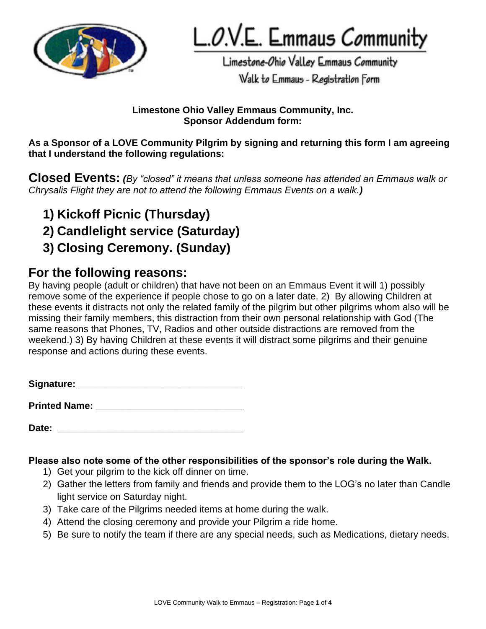

L.O.V.E. Emmaus Community

Limestone-Ohio Valley Emmaus Community Walk to Emmaus - Registration Form

### **Limestone Ohio Valley Emmaus Community, Inc. Sponsor Addendum form:**

**As a Sponsor of a LOVE Community Pilgrim by signing and returning this form I am agreeing that I understand the following regulations:**

**Closed Events:** *(By "closed" it means that unless someone has attended an Emmaus walk or Chrysalis Flight they are not to attend the following Emmaus Events on a walk.)*

- **1) Kickoff Picnic (Thursday)**
- **2) Candlelight service (Saturday)**
- **3) Closing Ceremony. (Sunday)**

# **For the following reasons:**

By having people (adult or children) that have not been on an Emmaus Event it will 1) possibly remove some of the experience if people chose to go on a later date. 2) By allowing Children at these events it distracts not only the related family of the pilgrim but other pilgrims whom also will be missing their family members, this distraction from their own personal relationship with God (The same reasons that Phones, TV, Radios and other outside distractions are removed from the weekend.) 3) By having Children at these events it will distract some pilgrims and their genuine response and actions during these events.

| Signature: |
|------------|
|------------|

**Printed Name: \_\_\_\_\_\_\_\_\_\_\_\_\_\_\_\_\_\_\_\_\_\_\_\_\_\_\_\_**

Date:

## **Please also note some of the other responsibilities of the sponsor's role during the Walk.**

- 1) Get your pilgrim to the kick off dinner on time.
- 2) Gather the letters from family and friends and provide them to the LOG's no later than Candle light service on Saturday night.
- 3) Take care of the Pilgrims needed items at home during the walk.
- 4) Attend the closing ceremony and provide your Pilgrim a ride home.
- 5) Be sure to notify the team if there are any special needs, such as Medications, dietary needs.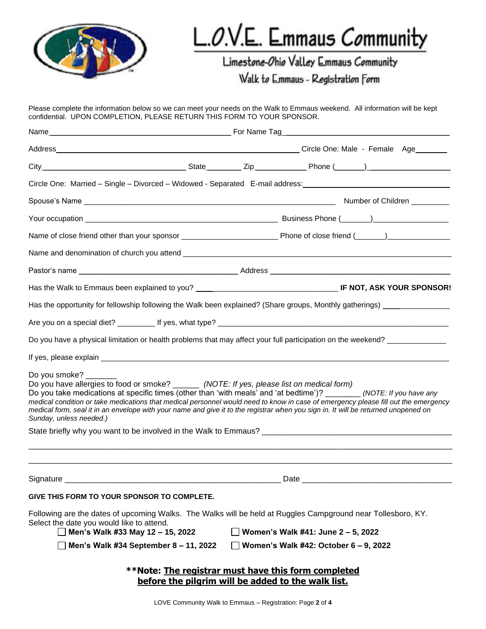

# L.O.V.E. Emmaus Community

Limestone-Ohio Valley Emmaus Community

Walk to Emmaus - Registration Form

Please complete the information below so we can meet your needs on the Walk to Emmaus weekend. All information will be kept confidential. UPON COMPLETION, PLEASE RETURN THIS FORM TO YOUR SPONSOR. Name \_\_\_\_\_\_\_\_\_\_\_\_\_\_\_\_\_\_\_\_\_\_\_\_\_\_\_\_\_\_\_\_\_\_\_\_\_\_\_\_\_\_\_ For Name Tag\_\_\_\_\_\_\_\_\_\_\_\_\_\_\_\_\_\_\_\_\_\_\_\_\_\_\_\_\_\_\_\_\_\_\_\_\_\_\_\_ Address \_\_\_\_\_\_\_\_\_\_\_\_\_\_\_\_\_\_\_\_\_\_\_\_\_\_\_\_\_\_\_\_\_\_\_\_\_\_\_\_\_\_\_\_\_\_\_\_\_\_\_\_\_\_\_\_\_ Circle One: Male - Female Age \_\_\_\_\_\_\_ City \_\_\_\_\_\_\_\_\_\_\_\_\_\_\_\_\_\_\_\_\_\_\_\_\_\_\_\_\_\_\_\_\_\_ State \_\_\_\_\_\_\_\_ Zip \_\_\_\_\_\_\_\_\_\_\_\_ Phone (\_\_\_\_\_\_\_)\_\_\_\_\_\_\_\_\_\_\_\_\_\_\_\_\_\_\_\_ Circle One: Married – Single – Divorced – Widowed - Separated E-mail address: Spouse's Name \_\_\_\_\_\_\_\_\_\_\_\_\_\_\_\_\_\_\_\_\_\_\_\_\_\_\_\_\_\_\_\_\_\_\_\_\_\_\_\_\_\_\_\_\_\_\_\_\_\_\_\_\_\_\_\_\_\_\_\_ Number of Children \_\_\_\_\_\_\_\_\_ Your occupation \_\_\_\_\_\_\_\_\_\_\_\_\_\_\_\_\_\_\_\_\_\_\_\_\_\_\_\_\_\_\_\_\_\_\_\_\_\_\_\_\_\_\_\_\_\_ Business Phone (\_\_\_\_\_\_\_)\_\_\_\_\_\_\_\_\_\_\_\_\_\_\_\_\_\_ Name of close friend other than your sponsor \_\_\_\_\_\_\_\_\_\_\_\_\_\_\_\_\_\_\_\_\_\_\_\_\_\_\_\_\_\_\_\_\_\_\_ Phone of close friend (\_\_\_\_\_\_)\_\_\_\_\_\_\_\_\_\_\_\_\_\_\_\_\_\_\_\_\_\_\_\_ Name and denomination of church you attend \_\_\_\_\_\_\_\_\_\_\_\_\_\_\_\_\_\_\_\_\_\_\_\_\_\_\_\_\_\_\_\_\_\_\_\_\_\_\_\_\_\_\_\_\_\_\_\_\_\_\_\_\_\_\_\_\_\_\_\_\_\_\_\_ Pastor's name \_\_\_\_\_\_\_\_\_\_\_\_\_\_\_\_\_\_\_\_\_\_\_\_\_\_\_\_\_\_\_\_\_\_\_\_\_\_ Address \_\_\_\_\_\_\_\_\_\_\_\_\_\_\_\_\_\_\_\_\_\_\_\_\_\_\_\_\_\_\_\_\_\_\_\_\_\_\_\_\_\_\_ Has the Walk to Emmaus been explained to you? \_\_\_\_\_\_\_\_\_\_\_\_\_\_\_\_\_\_\_\_\_\_\_\_\_\_\_\_\_\_\_\_\_\_ **IF NOT, ASK YOUR SPONSOR!** Has the opportunity for fellowship following the Walk been explained? (Share groups, Monthly gatherings) \_\_\_\_\_\_\_\_\_\_\_\_\_\_\_\_\_\_\_\_\_\_\_\_\_\_\_\_\_\_ Are you on a special diet?  $\qquad \qquad$  If yes, what type? Do you have a physical limitation or health problems that may affect your full participation on the weekend? If yes, please explain **Exercise Explain** and the set of the set of the set of the set of the set of the set of the set of the set of the set of the set of the set of the set of the set of the set of the set of the set of Do you smoke? \_\_\_\_\_ Do you have allergies to food or smoke? \_\_\_\_\_\_ *(NOTE: If yes, please list on medical form)* Do you take medications at specific times (other than 'with meals' and 'at bedtime')? \_\_\_\_\_\_\_\_ *(NOTE: If you have any medical condition or take medications that medical personnel would need to know in case of emergency please fill out the emergency medical form, seal it in an envelope with your name and give it to the registrar when you sign in. It will be returned unopened on Sunday, unless needed.)* State briefly why you want to be involved in the Walk to Emmaus? \_\_\_\_\_\_\_\_\_\_\_\_\_\_\_\_\_\_\_\_\_\_\_\_\_\_\_\_\_\_\_\_\_\_\_\_\_\_\_\_\_\_\_\_\_\_\_\_\_\_\_\_\_\_\_\_\_\_\_\_\_\_\_\_\_\_\_\_\_\_\_\_\_\_\_\_\_\_\_\_\_\_\_\_\_\_\_\_\_\_\_\_\_\_\_\_ \_\_\_\_\_\_\_\_\_\_\_\_\_\_\_\_\_\_\_\_\_\_\_\_\_\_\_\_\_\_\_\_\_\_\_\_\_\_\_\_\_\_\_\_\_\_\_\_\_\_\_\_\_\_\_\_\_\_\_\_\_\_\_\_\_\_\_\_\_\_\_\_\_\_\_\_\_\_\_\_\_\_\_\_\_\_\_\_\_\_\_\_\_\_\_\_ Signature \_\_\_\_\_\_\_\_\_\_\_\_\_\_\_\_\_\_\_\_\_\_\_\_\_\_\_\_\_\_\_\_\_\_\_\_\_\_\_\_\_\_\_\_\_\_\_\_\_ Date \_\_\_\_\_\_\_\_\_\_\_\_\_\_\_\_\_\_\_\_\_\_\_\_\_\_\_\_\_\_\_\_\_\_ **GIVE THIS FORM TO YOUR SPONSOR TO COMPLETE.** Following are the dates of upcoming Walks. The Walks will be held at Ruggles Campground near Tollesboro, KY. Select the date you would like to attend. **Men's Walk #33 May 12 – 15, 2022 Women's Walk #41: June 2 – 5, 2022 Men's Walk #34 September 8 – 11, 2022 Women's Walk #42: October 6 – 9, 2022 \*\*Note: The registrar must have this form completed before the pilgrim will be added to the walk list.**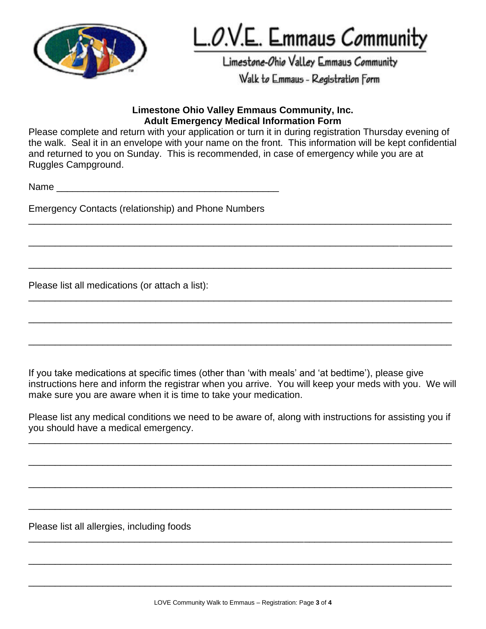

L.O.V.E. Emmaus Community

Limestone-Ohio Valley Emmaus Community

Walk to Emmaus - Registration Form

### **Limestone Ohio Valley Emmaus Community, Inc. Adult Emergency Medical Information Form**

Please complete and return with your application or turn it in during registration Thursday evening of the walk. Seal it in an envelope with your name on the front. This information will be kept confidential and returned to you on Sunday. This is recommended, in case of emergency while you are at Ruggles Campground.

\_\_\_\_\_\_\_\_\_\_\_\_\_\_\_\_\_\_\_\_\_\_\_\_\_\_\_\_\_\_\_\_\_\_\_\_\_\_\_\_\_\_\_\_\_\_\_\_\_\_\_\_\_\_\_\_\_\_\_\_\_\_\_\_\_\_\_\_\_\_\_\_\_\_\_\_\_\_\_\_

\_\_\_\_\_\_\_\_\_\_\_\_\_\_\_\_\_\_\_\_\_\_\_\_\_\_\_\_\_\_\_\_\_\_\_\_\_\_\_\_\_\_\_\_\_\_\_\_\_\_\_\_\_\_\_\_\_\_\_\_\_\_\_\_\_\_\_\_\_\_\_\_\_\_\_\_\_\_\_\_

\_\_\_\_\_\_\_\_\_\_\_\_\_\_\_\_\_\_\_\_\_\_\_\_\_\_\_\_\_\_\_\_\_\_\_\_\_\_\_\_\_\_\_\_\_\_\_\_\_\_\_\_\_\_\_\_\_\_\_\_\_\_\_\_\_\_\_\_\_\_\_\_\_\_\_\_\_\_\_\_

\_\_\_\_\_\_\_\_\_\_\_\_\_\_\_\_\_\_\_\_\_\_\_\_\_\_\_\_\_\_\_\_\_\_\_\_\_\_\_\_\_\_\_\_\_\_\_\_\_\_\_\_\_\_\_\_\_\_\_\_\_\_\_\_\_\_\_\_\_\_\_\_\_\_\_\_\_\_\_\_

\_\_\_\_\_\_\_\_\_\_\_\_\_\_\_\_\_\_\_\_\_\_\_\_\_\_\_\_\_\_\_\_\_\_\_\_\_\_\_\_\_\_\_\_\_\_\_\_\_\_\_\_\_\_\_\_\_\_\_\_\_\_\_\_\_\_\_\_\_\_\_\_\_\_\_\_\_\_\_\_

\_\_\_\_\_\_\_\_\_\_\_\_\_\_\_\_\_\_\_\_\_\_\_\_\_\_\_\_\_\_\_\_\_\_\_\_\_\_\_\_\_\_\_\_\_\_\_\_\_\_\_\_\_\_\_\_\_\_\_\_\_\_\_\_\_\_\_\_\_\_\_\_\_\_\_\_\_\_\_\_

 $Name$ 

Emergency Contacts (relationship) and Phone Numbers

Please list all medications (or attach a list):

If you take medications at specific times (other than 'with meals' and 'at bedtime'), please give instructions here and inform the registrar when you arrive. You will keep your meds with you. We will make sure you are aware when it is time to take your medication.

Please list any medical conditions we need to be aware of, along with instructions for assisting you if you should have a medical emergency.

\_\_\_\_\_\_\_\_\_\_\_\_\_\_\_\_\_\_\_\_\_\_\_\_\_\_\_\_\_\_\_\_\_\_\_\_\_\_\_\_\_\_\_\_\_\_\_\_\_\_\_\_\_\_\_\_\_\_\_\_\_\_\_\_\_\_\_\_\_\_\_\_\_\_\_\_\_\_\_\_

\_\_\_\_\_\_\_\_\_\_\_\_\_\_\_\_\_\_\_\_\_\_\_\_\_\_\_\_\_\_\_\_\_\_\_\_\_\_\_\_\_\_\_\_\_\_\_\_\_\_\_\_\_\_\_\_\_\_\_\_\_\_\_\_\_\_\_\_\_\_\_\_\_\_\_\_\_\_\_\_

\_\_\_\_\_\_\_\_\_\_\_\_\_\_\_\_\_\_\_\_\_\_\_\_\_\_\_\_\_\_\_\_\_\_\_\_\_\_\_\_\_\_\_\_\_\_\_\_\_\_\_\_\_\_\_\_\_\_\_\_\_\_\_\_\_\_\_\_\_\_\_\_\_\_\_\_\_\_\_\_

\_\_\_\_\_\_\_\_\_\_\_\_\_\_\_\_\_\_\_\_\_\_\_\_\_\_\_\_\_\_\_\_\_\_\_\_\_\_\_\_\_\_\_\_\_\_\_\_\_\_\_\_\_\_\_\_\_\_\_\_\_\_\_\_\_\_\_\_\_\_\_\_\_\_\_\_\_\_\_\_

\_\_\_\_\_\_\_\_\_\_\_\_\_\_\_\_\_\_\_\_\_\_\_\_\_\_\_\_\_\_\_\_\_\_\_\_\_\_\_\_\_\_\_\_\_\_\_\_\_\_\_\_\_\_\_\_\_\_\_\_\_\_\_\_\_\_\_\_\_\_\_\_\_\_\_\_\_\_\_\_

\_\_\_\_\_\_\_\_\_\_\_\_\_\_\_\_\_\_\_\_\_\_\_\_\_\_\_\_\_\_\_\_\_\_\_\_\_\_\_\_\_\_\_\_\_\_\_\_\_\_\_\_\_\_\_\_\_\_\_\_\_\_\_\_\_\_\_\_\_\_\_\_\_\_\_\_\_\_\_\_

\_\_\_\_\_\_\_\_\_\_\_\_\_\_\_\_\_\_\_\_\_\_\_\_\_\_\_\_\_\_\_\_\_\_\_\_\_\_\_\_\_\_\_\_\_\_\_\_\_\_\_\_\_\_\_\_\_\_\_\_\_\_\_\_\_\_\_\_\_\_\_\_\_\_\_\_\_\_\_\_

Please list all allergies, including foods